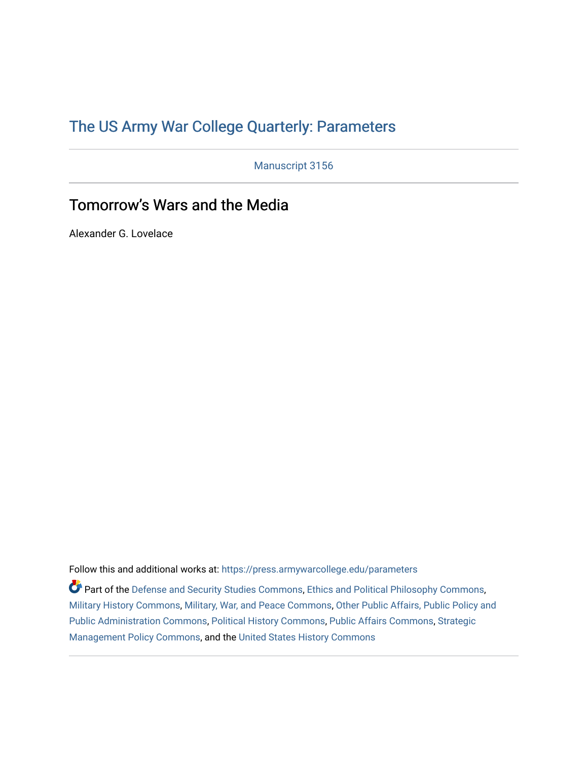# [The US Army War College Quarterly: Parameters](https://press.armywarcollege.edu/parameters)

Manuscript 3156

# Tomorrow's Wars and the Media

Alexander G. Lovelace

Follow this and additional works at: [https://press.armywarcollege.edu/parameters](https://press.armywarcollege.edu/parameters?utm_source=press.armywarcollege.edu%2Fparameters%2Fvol52%2Fiss2%2F15&utm_medium=PDF&utm_campaign=PDFCoverPages) 

Part of the [Defense and Security Studies Commons](https://network.bepress.com/hgg/discipline/394?utm_source=press.armywarcollege.edu%2Fparameters%2Fvol52%2Fiss2%2F15&utm_medium=PDF&utm_campaign=PDFCoverPages), [Ethics and Political Philosophy Commons](https://network.bepress.com/hgg/discipline/529?utm_source=press.armywarcollege.edu%2Fparameters%2Fvol52%2Fiss2%2F15&utm_medium=PDF&utm_campaign=PDFCoverPages), [Military History Commons,](https://network.bepress.com/hgg/discipline/504?utm_source=press.armywarcollege.edu%2Fparameters%2Fvol52%2Fiss2%2F15&utm_medium=PDF&utm_campaign=PDFCoverPages) [Military, War, and Peace Commons,](https://network.bepress.com/hgg/discipline/861?utm_source=press.armywarcollege.edu%2Fparameters%2Fvol52%2Fiss2%2F15&utm_medium=PDF&utm_campaign=PDFCoverPages) [Other Public Affairs, Public Policy and](https://network.bepress.com/hgg/discipline/403?utm_source=press.armywarcollege.edu%2Fparameters%2Fvol52%2Fiss2%2F15&utm_medium=PDF&utm_campaign=PDFCoverPages)  [Public Administration Commons,](https://network.bepress.com/hgg/discipline/403?utm_source=press.armywarcollege.edu%2Fparameters%2Fvol52%2Fiss2%2F15&utm_medium=PDF&utm_campaign=PDFCoverPages) [Political History Commons,](https://network.bepress.com/hgg/discipline/505?utm_source=press.armywarcollege.edu%2Fparameters%2Fvol52%2Fiss2%2F15&utm_medium=PDF&utm_campaign=PDFCoverPages) [Public Affairs Commons,](https://network.bepress.com/hgg/discipline/399?utm_source=press.armywarcollege.edu%2Fparameters%2Fvol52%2Fiss2%2F15&utm_medium=PDF&utm_campaign=PDFCoverPages) [Strategic](https://network.bepress.com/hgg/discipline/642?utm_source=press.armywarcollege.edu%2Fparameters%2Fvol52%2Fiss2%2F15&utm_medium=PDF&utm_campaign=PDFCoverPages)  [Management Policy Commons,](https://network.bepress.com/hgg/discipline/642?utm_source=press.armywarcollege.edu%2Fparameters%2Fvol52%2Fiss2%2F15&utm_medium=PDF&utm_campaign=PDFCoverPages) and the [United States History Commons](https://network.bepress.com/hgg/discipline/495?utm_source=press.armywarcollege.edu%2Fparameters%2Fvol52%2Fiss2%2F15&utm_medium=PDF&utm_campaign=PDFCoverPages)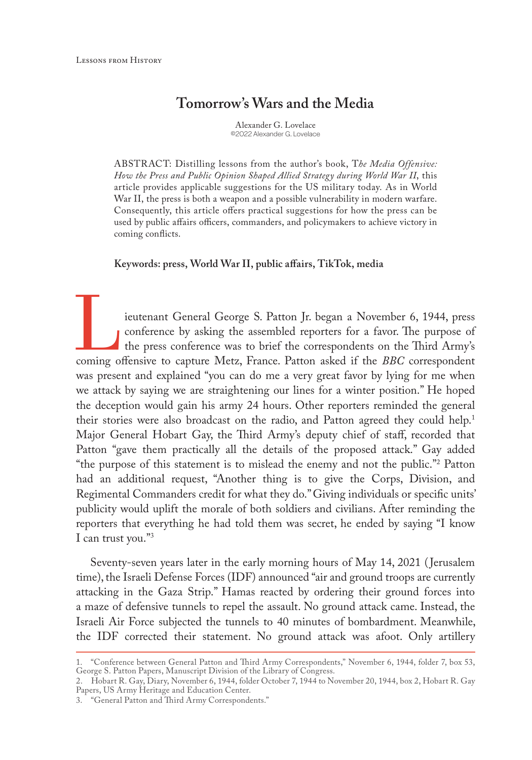# **Tomorrow's Wars and the Media**

Alexander G. Lovelace ©2022 Alexander G. Lovelace

ABSTRACT: Distilling lessons from the author's book, T*he Media Offensive: How the Press and Public Opinion Shaped Allied Strategy during World War II*, this article provides applicable suggestions for the US military today. As in World War II, the press is both a weapon and a possible vulnerability in modern warfare. Consequently, this article offers practical suggestions for how the press can be used by public affairs officers, commanders, and policymakers to achieve victory in coming conflicts.

#### **Keywords: press, World War II, public affairs, TikTok, media**

ieutenant General George S. Patton Jr. began a November 6, 1944, press<br>conference by asking the assembled reporters for a favor. The purpose of<br>the press conference was to brief the correspondents on the Third Army's<br>comin conference by asking the assembled reporters for a favor. The purpose of the press conference was to brief the correspondents on the Third Army's coming offensive to capture Metz, France. Patton asked if the *BBC* correspondent was present and explained "you can do me a very great favor by lying for me when we attack by saying we are straightening our lines for a winter position." He hoped the deception would gain his army 24 hours. Other reporters reminded the general their stories were also broadcast on the radio, and Patton agreed they could help.1 Major General Hobart Gay, the Third Army's deputy chief of staff, recorded that Patton "gave them practically all the details of the proposed attack." Gay added "the purpose of this statement is to mislead the enemy and not the public."2 Patton had an additional request, "Another thing is to give the Corps, Division, and Regimental Commanders credit for what they do." Giving individuals or specific units' publicity would uplift the morale of both soldiers and civilians. After reminding the reporters that everything he had told them was secret, he ended by saying "I know I can trust you."3

Seventy-seven years later in the early morning hours of May 14, 2021 ( Jerusalem time), the Israeli Defense Forces (IDF) announced "air and ground troops are currently attacking in the Gaza Strip." Hamas reacted by ordering their ground forces into a maze of defensive tunnels to repel the assault. No ground attack came. Instead, the Israeli Air Force subjected the tunnels to 40 minutes of bombardment. Meanwhile, the IDF corrected their statement. No ground attack was afoot. Only artillery

<sup>1.</sup> "Conference between General Patton and Third Army Correspondents," November 6, 1944, folder 7, box 53, George S. Patton Papers, Manuscript Division of the Library of Congress.

<sup>2.</sup> Hobart R. Gay, Diary, November 6, 1944, folder October 7, 1944 to November 20, 1944, box 2, Hobart R. Gay Papers, US Army Heritage and Education Center.

<sup>3.</sup> "General Patton and Third Army Correspondents."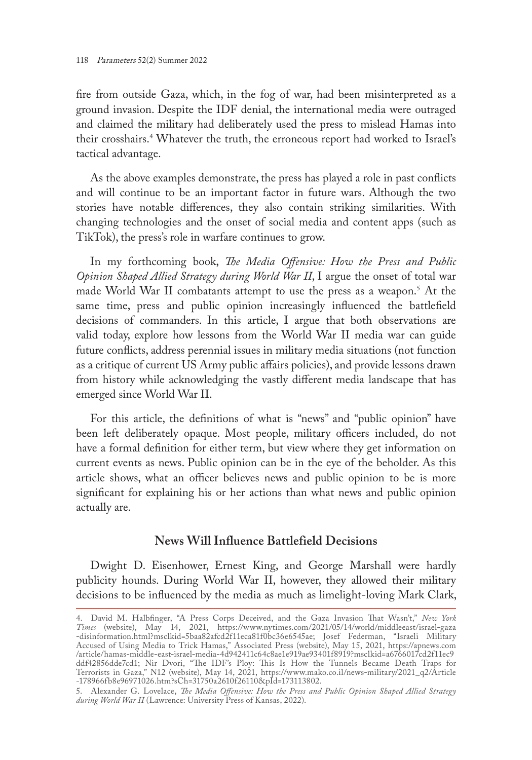fire from outside Gaza, which, in the fog of war, had been misinterpreted as a ground invasion. Despite the IDF denial, the international media were outraged and claimed the military had deliberately used the press to mislead Hamas into their crosshairs.4 Whatever the truth, the erroneous report had worked to Israel's tactical advantage.

As the above examples demonstrate, the press has played a role in past conflicts and will continue to be an important factor in future wars. Although the two stories have notable differences, they also contain striking similarities. With changing technologies and the onset of social media and content apps (such as TikTok), the press's role in warfare continues to grow.

In my forthcoming book, *The Media Offensive: How the Press and Public Opinion Shaped Allied Strategy during World War II*, I argue the onset of total war made World War II combatants attempt to use the press as a weapon.5 At the same time, press and public opinion increasingly influenced the battlefield decisions of commanders. In this article, I argue that both observations are valid today, explore how lessons from the World War II media war can guide future conflicts, address perennial issues in military media situations (not function as a critique of current US Army public affairs policies), and provide lessons drawn from history while acknowledging the vastly different media landscape that has emerged since World War II.

For this article, the definitions of what is "news" and "public opinion" have been left deliberately opaque. Most people, military officers included, do not have a formal definition for either term, but view where they get information on current events as news. Public opinion can be in the eye of the beholder. As this article shows, what an officer believes news and public opinion to be is more significant for explaining his or her actions than what news and public opinion actually are.

# **News Will Influence Battlefield Decisions**

Dwight D. Eisenhower, Ernest King, and George Marshall were hardly publicity hounds. During World War II, however, they allowed their military decisions to be influenced by the media as much as limelight-loving Mark Clark,

<sup>4.</sup> David M. Halbfinger, "A Press Corps Deceived, and the Gaza Invasion That Wasn't," *New York Times* (website), May 14, 2021, [https://www.nytimes.com/2021/05/14/world/middleeast/israel-gaza](https://www.nytimes.com/2021/05/14/world/middleeast/israel-gaza-disinformation.html?msclkid=5baa82afcd2f11eca81f0bc36e6545ae) [-disinformation.html?msclkid=5baa82afcd2f11eca81f0bc36e6545ae](https://www.nytimes.com/2021/05/14/world/middleeast/israel-gaza-disinformation.html?msclkid=5baa82afcd2f11eca81f0bc36e6545ae); Josef Federman, "Israeli Military Accused of Using Media to Trick Hamas," Associated Press (website), May 15, 2021, [https://apnews.com](https://apnews.com/article/hamas-middle-east-israel-media-4d942411c64c8ae1e919ae93401f8919?msclkid=a6766017cd2f11ec9ddf42856dde7cd1) [/article/hamas-middle-east-israel-media-4d942411c64c8ae1e919ae93401f8919?msclkid=a6766017cd2f11ec9](https://apnews.com/article/hamas-middle-east-israel-media-4d942411c64c8ae1e919ae93401f8919?msclkid=a6766017cd2f11ec9ddf42856dde7cd1) [ddf42856dde7cd1;](https://apnews.com/article/hamas-middle-east-israel-media-4d942411c64c8ae1e919ae93401f8919?msclkid=a6766017cd2f11ec9ddf42856dde7cd1) Nir Dvori, "The IDF's Ploy: This Is How the Tunnels Became Death Traps for Terrorists in Gaza," N12 (website), May 14, 2021, [https://www.mako.co.il/news-military/2021\\_q2/Article](https://www.mako.co.il/news-military/2021_q2/Article-178966fb8e96971026.htm?sCh=31750a2610f26110&pId=173113802) [-178966fb8e96971026.htm?sCh=31750a2610f26110&pId=173113802.](https://www.mako.co.il/news-military/2021_q2/Article-178966fb8e96971026.htm?sCh=31750a2610f26110&pId=173113802)

<sup>5.</sup> Alexander G. Lovelace, *The Media Offensive: How the Press and Public Opinion Shaped Allied Strategy during World War II* (Lawrence: University Press of Kansas, 2022).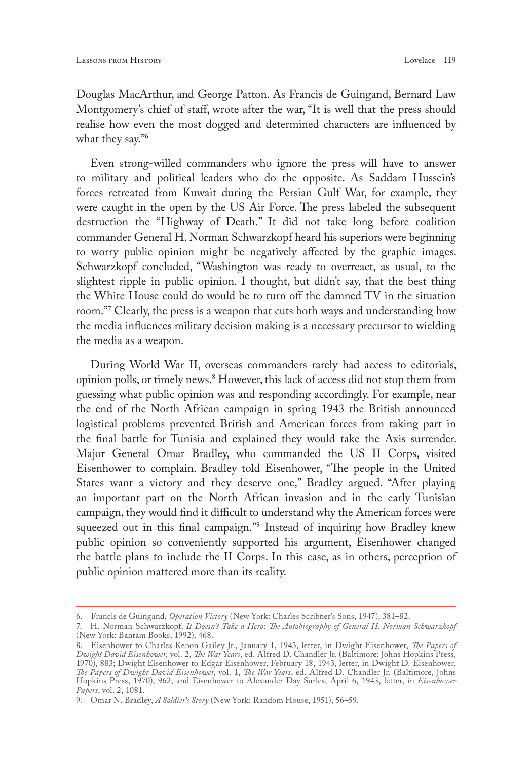Douglas MacArthur, and George Patton. As Francis de Guingand, Bernard Law Montgomery's chief of staff, wrote after the war, "It is well that the press should realise how even the most dogged and determined characters are influenced by what they say."<sup>6</sup>

Even strong-willed commanders who ignore the press will have to answer to military and political leaders who do the opposite. As Saddam Hussein's forces retreated from Kuwait during the Persian Gulf War, for example, they were caught in the open by the US Air Force. The press labeled the subsequent destruction the "Highway of Death." It did not take long before coalition commander General H. Norman Schwarzkopf heard his superiors were beginning to worry public opinion might be negatively affected by the graphic images. Schwarzkopf concluded, "Washington was ready to overreact, as usual, to the slightest ripple in public opinion. I thought, but didn't say, that the best thing the White House could do would be to turn off the damned TV in the situation room."7 Clearly, the press is a weapon that cuts both ways and understanding how the media influences military decision making is a necessary precursor to wielding the media as a weapon.

During World War II, overseas commanders rarely had access to editorials, opinion polls, or timely news.8 However, this lack of access did not stop them from guessing what public opinion was and responding accordingly. For example, near the end of the North African campaign in spring 1943 the British announced logistical problems prevented British and American forces from taking part in the final battle for Tunisia and explained they would take the Axis surrender. Major General Omar Bradley, who commanded the US II Corps, visited Eisenhower to complain. Bradley told Eisenhower, "The people in the United States want a victory and they deserve one," Bradley argued. "After playing an important part on the North African invasion and in the early Tunisian campaign, they would find it difficult to understand why the American forces were squeezed out in this final campaign."9 Instead of inquiring how Bradley knew public opinion so conveniently supported his argument, Eisenhower changed the battle plans to include the II Corps. In this case, as in others, perception of public opinion mattered more than its reality.

<sup>6.</sup> Francis de Guingand, *Operation Victory* (New York: Charles Scribner's Sons, 1947), 381–82.

<sup>7.</sup> H. Norman Schwarzkopf, *It Doesn't Take a Hero*: *The Autobiography of General H. Norman Schwarzkopf*  (New York: Bantam Books, 1992), 468.

<sup>8.</sup> Eisenhower to Charles Kenon Gailey Jr., January 1, 1943, letter, in Dwight Eisenhower, *The Papers of Dwight David Eisenhower*, vol. 2, *The War Years*, ed. Alfred D. Chandler Jr. (Baltimore: Johns Hopkins Press, 1970), 883; Dwight Eisenhower to Edgar Eisenhower, February 18, 1943, letter, in Dwight D. Eisenhower, *The Papers of Dwight David Eisenhower*, vol. 1, *The War Years*, ed. Alfred D. Chandler Jr. (Baltimore, Johns Hopkins Press, 1970), 962; and Eisenhower to Alexander Day Surles, April 6, 1943, letter, in *Eisenhower Papers*, vol. 2, 1081.

<sup>9.</sup> Omar N. Bradley, *A Soldier's Story* (New York: Random House, 1951), 56–59.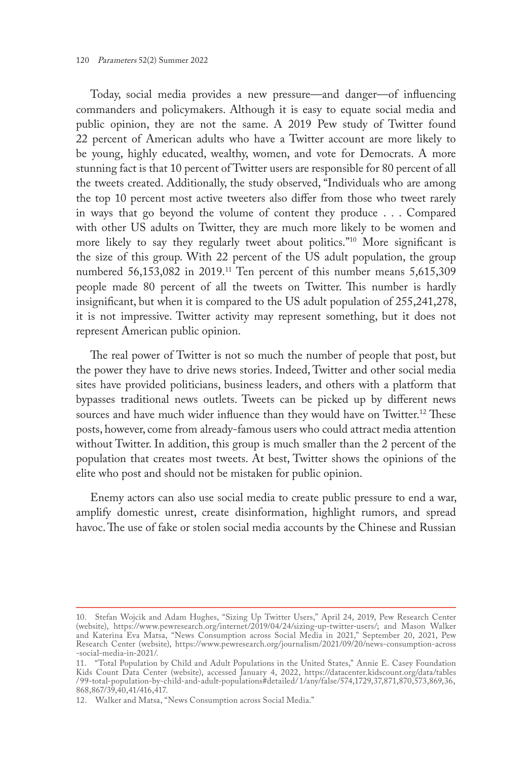Today, social media provides a new pressure—and danger—of influencing commanders and policymakers. Although it is easy to equate social media and public opinion, they are not the same. A 2019 Pew study of Twitter found 22 percent of American adults who have a Twitter account are more likely to be young, highly educated, wealthy, women, and vote for Democrats. A more stunning fact is that 10 percent of Twitter users are responsible for 80 percent of all the tweets created. Additionally, the study observed, "Individuals who are among the top 10 percent most active tweeters also differ from those who tweet rarely in ways that go beyond the volume of content they produce . . . Compared with other US adults on Twitter, they are much more likely to be women and more likely to say they regularly tweet about politics."10 More significant is the size of this group. With 22 percent of the US adult population, the group numbered 56,153,082 in 2019.<sup>11</sup> Ten percent of this number means 5,615,309 people made 80 percent of all the tweets on Twitter. This number is hardly insignificant, but when it is compared to the US adult population of 255,241,278, it is not impressive. Twitter activity may represent something, but it does not represent American public opinion.

The real power of Twitter is not so much the number of people that post, but the power they have to drive news stories. Indeed, Twitter and other social media sites have provided politicians, business leaders, and others with a platform that bypasses traditional news outlets. Tweets can be picked up by different news sources and have much wider influence than they would have on Twitter.<sup>12</sup> These posts, however, come from already-famous users who could attract media attention without Twitter. In addition, this group is much smaller than the 2 percent of the population that creates most tweets. At best, Twitter shows the opinions of the elite who post and should not be mistaken for public opinion.

Enemy actors can also use social media to create public pressure to end a war, amplify domestic unrest, create disinformation, highlight rumors, and spread havoc. The use of fake or stolen social media accounts by the Chinese and Russian

<sup>10.</sup> Stefan Wojcik and Adam Hughes, "Sizing Up Twitter Users," April 24, 2019, Pew Research Center (website), <https://www.pewresearch.org/internet/2019/04/24/sizing-up-twitter-users/>; and Mason Walker and Katerina Eva Matsa, "News Consumption across Social Media in 2021," September 20, 2021, Pew Research Center (website), [https://www.pewresearch.org/journalism/2021/09/20/news-consumption-across](https://www.pewresearch.org/journalism/2021/09/20/news-consumption-across-social-media-in-2021/) [-social-media-in-2021/](https://www.pewresearch.org/journalism/2021/09/20/news-consumption-across-social-media-in-2021/).

<sup>11.</sup> "Total Population by Child and Adult Populations in the United States," Annie E. Casey Foundation Kids Count Data Center (website), accessed January 4, 2022, [https://datacenter.kidscount.org/data/tables](https://datacenter.kidscount.org/data/tables/99-total-population-by-child-and-adult-populations#detailed/1/any/false/574,1729,37,871,870,573,869,36, 868,867/39,40,41/416,417) / [99-total-population-by-child-and-adult-populations#detailed/](https://datacenter.kidscount.org/data/tables/99-total-population-by-child-and-adult-populations#detailed/1/any/false/574,1729,37,871,870,573,869,36, 868,867/39,40,41/416,417) 1/any/false/574,1729,37,871,870,573,869,36, [868,867/39,40,41/416,417](https://datacenter.kidscount.org/data/tables/99-total-population-by-child-and-adult-populations#detailed/1/any/false/574,1729,37,871,870,573,869,36, 868,867/39,40,41/416,417).

<sup>12.</sup> Walker and Matsa, "News Consumption across Social Media."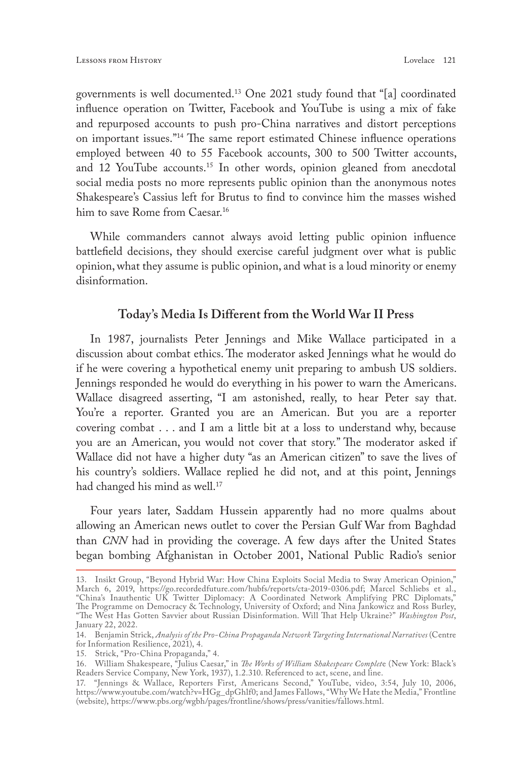governments is well documented.13 One 2021 study found that "[a] coordinated influence operation on Twitter, Facebook and YouTube is using a mix of fake and repurposed accounts to push pro-China narratives and distort perceptions on important issues."14 The same report estimated Chinese influence operations employed between 40 to 55 Facebook accounts, 300 to 500 Twitter accounts, and 12 YouTube accounts.<sup>15</sup> In other words, opinion gleaned from anecdotal social media posts no more represents public opinion than the anonymous notes Shakespeare's Cassius left for Brutus to find to convince him the masses wished him to save Rome from Caesar.<sup>16</sup>

While commanders cannot always avoid letting public opinion influence battlefield decisions, they should exercise careful judgment over what is public opinion, what they assume is public opinion, and what is a loud minority or enemy disinformation.

### **Today's Media Is Different from the World War II Press**

In 1987, journalists Peter Jennings and Mike Wallace participated in a discussion about combat ethics. The moderator asked Jennings what he would do if he were covering a hypothetical enemy unit preparing to ambush US soldiers. Jennings responded he would do everything in his power to warn the Americans. Wallace disagreed asserting, "I am astonished, really, to hear Peter say that. You're a reporter. Granted you are an American. But you are a reporter covering combat . . . and I am a little bit at a loss to understand why, because you are an American, you would not cover that story." The moderator asked if Wallace did not have a higher duty "as an American citizen" to save the lives of his country's soldiers. Wallace replied he did not, and at this point, Jennings had changed his mind as well.<sup>17</sup>

Four years later, Saddam Hussein apparently had no more qualms about allowing an American news outlet to cover the Persian Gulf War from Baghdad than *CNN* had in providing the coverage. A few days after the United States began bombing Afghanistan in October 2001, National Public Radio's senior

<sup>13.</sup> Insikt Group, "Beyond Hybrid War: How China Exploits Social Media to Sway American Opinion," March 6, 2019, [https://go.recordedfuture.com/hubfs/reports/cta-2019-0306.pdf;](https://go.recordedfuture.com/hubfs/reports/cta-2019-0306.pdf) Marcel Schliebs et al., "China's Inauthentic UK Twitter Diplomacy: A Coordinated Network Amplifying PRC Diplomats," The Programme on Democracy & Technology, University of Oxford; and Nina Jankowicz and Ross Burley, "The West Has Gotten Savvier about Russian Disinformation. Will That Help Ukraine?" *Washington Post*, January 22, 2022.

<sup>14.</sup> Benjamin Strick, *Analysis of the Pro-China Propaganda Network Targeting International Narratives* (Centre for Information Resilience, 2021), 4.

<sup>15.</sup> Strick, "Pro-China Propaganda," 4.

<sup>16.</sup> William Shakespeare, "Julius Caesar," in *The Works of William Shakespeare Complet*e (New York: Black's Readers Service Company, New York, 1937), 1.2.310. Referenced to act, scene, and line.

<sup>17.</sup> "Jennings & Wallace, Reporters First, Americans Second," YouTube, video, 3:54, July 10, 2006, https://www.youtube.com/watch?v=HGg\_dpGhlf0; and James Fallows, "Why We Hate the Media," Frontline (website), [https://www.pbs.org/wgbh/pages/frontline/shows/press/vanities/fallows.html.](https://www.pbs.org/wgbh/pages/frontline/shows/press/vanities/fallows.html)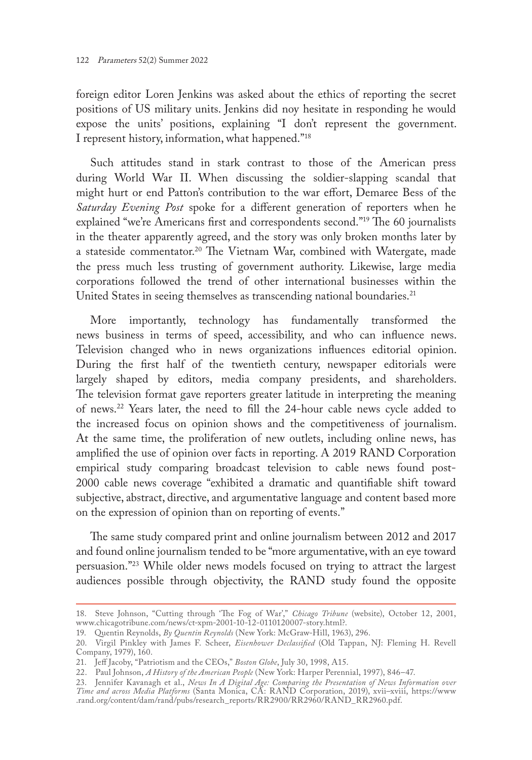foreign editor Loren Jenkins was asked about the ethics of reporting the secret positions of US military units. Jenkins did noy hesitate in responding he would expose the units' positions, explaining "I don't represent the government. I represent history, information, what happened."18

Such attitudes stand in stark contrast to those of the American press during World War II. When discussing the soldier-slapping scandal that might hurt or end Patton's contribution to the war effort, Demaree Bess of the *Saturday Evening Post* spoke for a different generation of reporters when he explained "we're Americans first and correspondents second."19 The 60 journalists in the theater apparently agreed, and the story was only broken months later by a stateside commentator.<sup>20</sup> The Vietnam War, combined with Watergate, made the press much less trusting of government authority. Likewise, large media corporations followed the trend of other international businesses within the United States in seeing themselves as transcending national boundaries.<sup>21</sup>

More importantly, technology has fundamentally transformed the news business in terms of speed, accessibility, and who can influence news. Television changed who in news organizations influences editorial opinion. During the first half of the twentieth century, newspaper editorials were largely shaped by editors, media company presidents, and shareholders. The television format gave reporters greater latitude in interpreting the meaning of news.22 Years later, the need to fill the 24-hour cable news cycle added to the increased focus on opinion shows and the competitiveness of journalism. At the same time, the proliferation of new outlets, including online news, has amplified the use of opinion over facts in reporting. A 2019 RAND Corporation empirical study comparing broadcast television to cable news found post-2000 cable news coverage "exhibited a dramatic and quantifiable shift toward subjective, abstract, directive, and argumentative language and content based more on the expression of opinion than on reporting of events."

The same study compared print and online journalism between 2012 and 2017 and found online journalism tended to be "more argumentative, with an eye toward persuasion."23 While older news models focused on trying to attract the largest audiences possible through objectivity, the RAND study found the opposite

<sup>18.</sup> Steve Johnson, "Cutting through 'The Fog of War'," *Chicago Tribune* (website), October 12, 2001, [www.chicagotribune.com/news/ct-xpm-2001-10-12-0110120007-story.html?.](http://www.chicagotribune.com/news/ct-xpm-2001-10-12-0110120007-story.html?)

<sup>19.</sup> Quentin Reynolds, *By Quentin Reynolds* (New York: McGraw-Hill, 1963), 296.

<sup>20.</sup> Virgil Pinkley with James F. Scheer, *Eisenhower Declassified* (Old Tappan, NJ: Fleming H. Revell Company, 1979), 160.

<sup>21.</sup> Jeff Jacoby, "Patriotism and the CEOs," *Boston Globe*, July 30, 1998, A15.

<sup>22.</sup> Paul Johnson, *A History of the American People* (New York: Harper Perennial, 1997), 846–47.

<sup>23.</sup> Jennifer Kavanagh et al., *News In A Digital Age: Comparing the Presentation of News Information over Time and across Media Platforms* (Santa Monica, CA: RAND Corporation, 2019), xvii–xviii, [https://www](https://www.rand.org/content/dam/rand/pubs/research_reports/RR2900/RR2960/RAND_RR2960.pdf) [.rand.org/content/dam/rand/pubs/research\\_reports/RR2900/RR2960/RAND\\_RR2960.pdf](https://www.rand.org/content/dam/rand/pubs/research_reports/RR2900/RR2960/RAND_RR2960.pdf).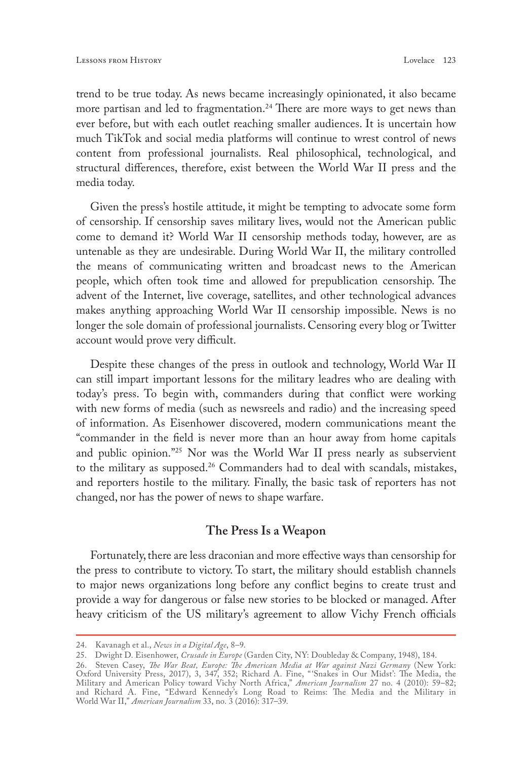trend to be true today. As news became increasingly opinionated, it also became more partisan and led to fragmentation.<sup>24</sup> There are more ways to get news than ever before, but with each outlet reaching smaller audiences. It is uncertain how much TikTok and social media platforms will continue to wrest control of news content from professional journalists. Real philosophical, technological, and structural differences, therefore, exist between the World War II press and the media today.

Given the press's hostile attitude, it might be tempting to advocate some form of censorship. If censorship saves military lives, would not the American public come to demand it? World War II censorship methods today, however, are as untenable as they are undesirable. During World War II, the military controlled the means of communicating written and broadcast news to the American people, which often took time and allowed for prepublication censorship. The advent of the Internet, live coverage, satellites, and other technological advances makes anything approaching World War II censorship impossible. News is no longer the sole domain of professional journalists. Censoring every blog or Twitter account would prove very difficult.

Despite these changes of the press in outlook and technology, World War II can still impart important lessons for the military leadres who are dealing with today's press. To begin with, commanders during that conflict were working with new forms of media (such as newsreels and radio) and the increasing speed of information. As Eisenhower discovered, modern communications meant the "commander in the field is never more than an hour away from home capitals and public opinion."25 Nor was the World War II press nearly as subservient to the military as supposed.26 Commanders had to deal with scandals, mistakes, and reporters hostile to the military. Finally, the basic task of reporters has not changed, nor has the power of news to shape warfare.

#### **The Press Is a Weapon**

Fortunately, there are less draconian and more effective ways than censorship for the press to contribute to victory. To start, the military should establish channels to major news organizations long before any conflict begins to create trust and provide a way for dangerous or false new stories to be blocked or managed. After heavy criticism of the US military's agreement to allow Vichy French officials

<sup>24.</sup> Kavanagh et al., *News in a Digital Age*, 8–9.

<sup>25.</sup> Dwight D. Eisenhower, *Crusade in Europe* (Garden City, NY: Doubleday & Company, 1948), 184.

<sup>26.</sup> Steven Casey, *The War Beat, Europe: The American Media at War against Nazi Germany* (New York: Oxford University Press, 2017), 3, 347, 352; Richard A. Fine, "'Snakes in Our Midst': The Media, the Military and American Policy toward Vichy North Africa," *American Journalism* 27 no. 4 (2010): 59–82; and Richard A. Fine, "Edward Kennedy's Long Road to Reims: The Media and the Military in World War II," *American Journalism* 33, no. 3 (2016): 317–39.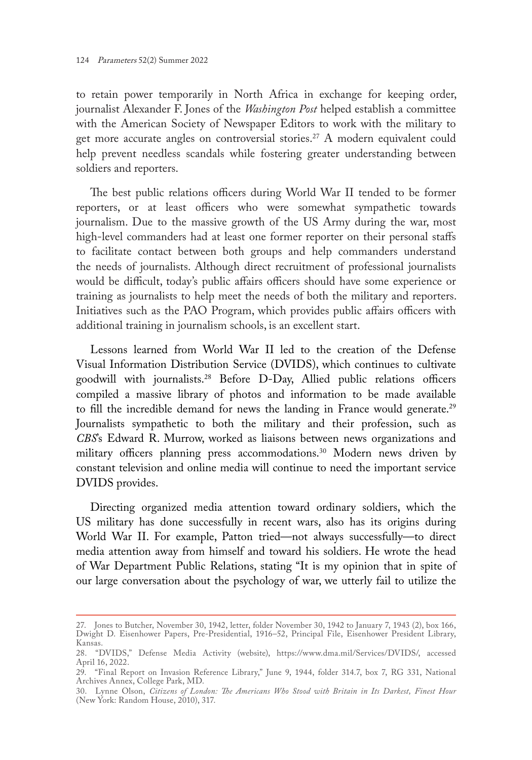to retain power temporarily in North Africa in exchange for keeping order, journalist Alexander F. Jones of the *Washington Post* helped establish a committee with the American Society of Newspaper Editors to work with the military to get more accurate angles on controversial stories.<sup>27</sup> A modern equivalent could help prevent needless scandals while fostering greater understanding between soldiers and reporters.

The best public relations officers during World War II tended to be former reporters, or at least officers who were somewhat sympathetic towards journalism. Due to the massive growth of the US Army during the war, most high-level commanders had at least one former reporter on their personal staffs to facilitate contact between both groups and help commanders understand the needs of journalists. Although direct recruitment of professional journalists would be difficult, today's public affairs officers should have some experience or training as journalists to help meet the needs of both the military and reporters. Initiatives such as the PAO Program, which provides public affairs officers with additional training in journalism schools, is an excellent start.

Lessons learned from World War II led to the creation of the Defense Visual Information Distribution Service (DVIDS), which continues to cultivate goodwill with journalists.28 Before D-Day, Allied public relations officers compiled a massive library of photos and information to be made available to fill the incredible demand for news the landing in France would generate.<sup>29</sup> Journalists sympathetic to both the military and their profession, such as *CBS*'s Edward R. Murrow, worked as liaisons between news organizations and military officers planning press accommodations.<sup>30</sup> Modern news driven by constant television and online media will continue to need the important service DVIDS provides.

Directing organized media attention toward ordinary soldiers, which the US military has done successfully in recent wars, also has its origins during World War II. For example, Patton tried—not always successfully—to direct media attention away from himself and toward his soldiers. He wrote the head of War Department Public Relations, stating "It is my opinion that in spite of our large conversation about the psychology of war, we utterly fail to utilize the

<sup>27.</sup> Jones to Butcher, November 30, 1942, letter, folder November 30, 1942 to January 7, 1943 (2), box 166, Dwight D. Eisenhower Papers, Pre-Presidential, 1916–52, Principal File, Eisenhower President Library, Kansas.

<sup>28.</sup> "DVIDS," Defense Media Activity (website), <https://www.dma.mil/Services/DVIDS/>, accessed April 16, 2022.

<sup>29.</sup> "Final Report on Invasion Reference Library," June 9, 1944, folder 314.7, box 7, RG 331, National Archives Annex, College Park, MD.

<sup>30.</sup> Lynne Olson, *Citizens of London: The Americans Who Stood with Britain in Its Darkest, Finest Hour*  (New York: Random House, 2010), 317.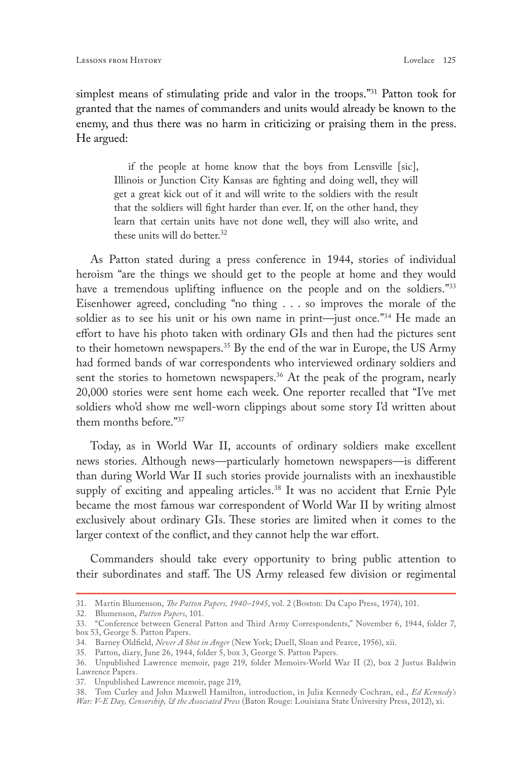simplest means of stimulating pride and valor in the troops."31 Patton took for granted that the names of commanders and units would already be known to the enemy, and thus there was no harm in criticizing or praising them in the press. He argued:

if the people at home know that the boys from Lensville [sic], Illinois or Junction City Kansas are fighting and doing well, they will get a great kick out of it and will write to the soldiers with the result that the soldiers will fight harder than ever. If, on the other hand, they learn that certain units have not done well, they will also write, and these units will do better.<sup>32</sup>

As Patton stated during a press conference in 1944, stories of individual heroism "are the things we should get to the people at home and they would have a tremendous uplifting influence on the people and on the soldiers."33 Eisenhower agreed, concluding "no thing . . . so improves the morale of the soldier as to see his unit or his own name in print—just once."<sup>34</sup> He made an effort to have his photo taken with ordinary GIs and then had the pictures sent to their hometown newspapers.35 By the end of the war in Europe, the US Army had formed bands of war correspondents who interviewed ordinary soldiers and sent the stories to hometown newspapers.<sup>36</sup> At the peak of the program, nearly 20,000 stories were sent home each week. One reporter recalled that "I've met soldiers who'd show me well-worn clippings about some story I'd written about them months before."37

Today, as in World War II, accounts of ordinary soldiers make excellent news stories. Although news—particularly hometown newspapers—is different than during World War II such stories provide journalists with an inexhaustible supply of exciting and appealing articles.<sup>38</sup> It was no accident that Ernie Pyle became the most famous war correspondent of World War II by writing almost exclusively about ordinary GIs. These stories are limited when it comes to the larger context of the conflict, and they cannot help the war effort.

Commanders should take every opportunity to bring public attention to their subordinates and staff. The US Army released few division or regimental

<sup>31.</sup> Martin Blumenson, *The Patton Papers, 1940–1945*, vol. 2 (Boston: Da Capo Press, 1974), 101.

<sup>32.</sup> Blumenson, *Patton Papers*, 101.

<sup>33.</sup> "Conference between General Patton and Third Army Correspondents," November 6, 1944, folder 7, box 53, George S. Patton Papers.

<sup>34.</sup> Barney Oldfield, *Never A Shot in Anger* (New York; Duell, Sloan and Pearce, 1956), xii.

<sup>35.</sup> Patton, diary, June 26, 1944, folder 5, box 3, George S. Patton Papers.

<sup>36.</sup> Unpublished Lawrence memoir, page 219, folder Memoirs-World War II (2), box 2 Justus Baldwin Lawrence Papers.

<sup>37.</sup> Unpublished Lawrence memoir, page 219,

<sup>38.</sup> Tom Curley and John Maxwell Hamilton, introduction, in Julia Kennedy Cochran, ed., *Ed Kennedy's War: V-E Day, Censorship, & the Associated Press* (Baton Rouge: Louisiana State University Press, 2012), xi.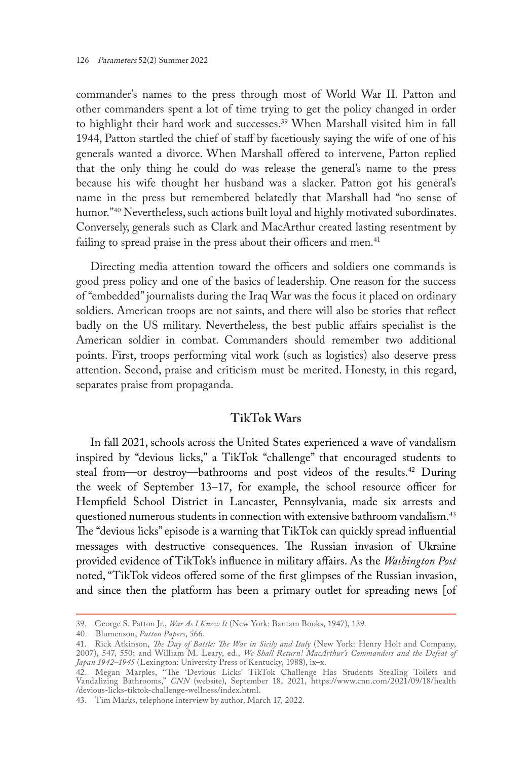commander's names to the press through most of World War II. Patton and other commanders spent a lot of time trying to get the policy changed in order to highlight their hard work and successes.<sup>39</sup> When Marshall visited him in fall 1944, Patton startled the chief of staff by facetiously saying the wife of one of his generals wanted a divorce. When Marshall offered to intervene, Patton replied that the only thing he could do was release the general's name to the press because his wife thought her husband was a slacker. Patton got his general's name in the press but remembered belatedly that Marshall had "no sense of humor."<sup>40</sup> Nevertheless, such actions built loyal and highly motivated subordinates. Conversely, generals such as Clark and MacArthur created lasting resentment by failing to spread praise in the press about their officers and men.<sup>41</sup>

Directing media attention toward the officers and soldiers one commands is good press policy and one of the basics of leadership. One reason for the success of "embedded" journalists during the Iraq War was the focus it placed on ordinary soldiers. American troops are not saints, and there will also be stories that reflect badly on the US military. Nevertheless, the best public affairs specialist is the American soldier in combat. Commanders should remember two additional points. First, troops performing vital work (such as logistics) also deserve press attention. Second, praise and criticism must be merited. Honesty, in this regard, separates praise from propaganda.

# **TikTok Wars**

In fall 2021, schools across the United States experienced a wave of vandalism inspired by "devious licks," a TikTok "challenge" that encouraged students to steal from—or destroy—bathrooms and post videos of the results.<sup>42</sup> During the week of September 13–17, for example, the school resource officer for Hempfield School District in Lancaster, Pennsylvania, made six arrests and questioned numerous students in connection with extensive bathroom vandalism.<sup>43</sup> The "devious licks" episode is a warning that TikTok can quickly spread influential messages with destructive consequences. The Russian invasion of Ukraine provided evidence of TikTok's influence in military affairs. As the *Washington Post* noted, "TikTok videos offered some of the first glimpses of the Russian invasion, and since then the platform has been a primary outlet for spreading news [of

<sup>39.</sup> George S. Patton Jr., *War As I Knew It* (New York: Bantam Books, 1947), 139.

<sup>40.</sup> Blumenson, *Patton Papers*, 566.

<sup>41.</sup> Rick Atkinson, *The Day of Battle: The War in Sicily and Italy* (New York: Henry Holt and Company, 2007), 547, 550; and William M. Leary, ed., *We Shall Return! MacArthur's Commanders and the Defeat of Japan 1942–1945* (Lexington: University Press of Kentucky, 1988), ix–x.

<sup>42.</sup> Megan Marples, "The 'Devious Licks' TikTok Challenge Has Students Stealing Toilets and Vandalizing Bathrooms," *CNN* (website), September 18, 2021, [https://www.cnn.com/2021/09/18/health](https://www.cnn.com/2021/09/18/health/devious-licks-tiktok-challenge-wellness/index.html) [/devious-licks-tiktok-challenge-wellness/index.html](https://www.cnn.com/2021/09/18/health/devious-licks-tiktok-challenge-wellness/index.html).

<sup>43.</sup> Tim Marks, telephone interview by author, March 17, 2022.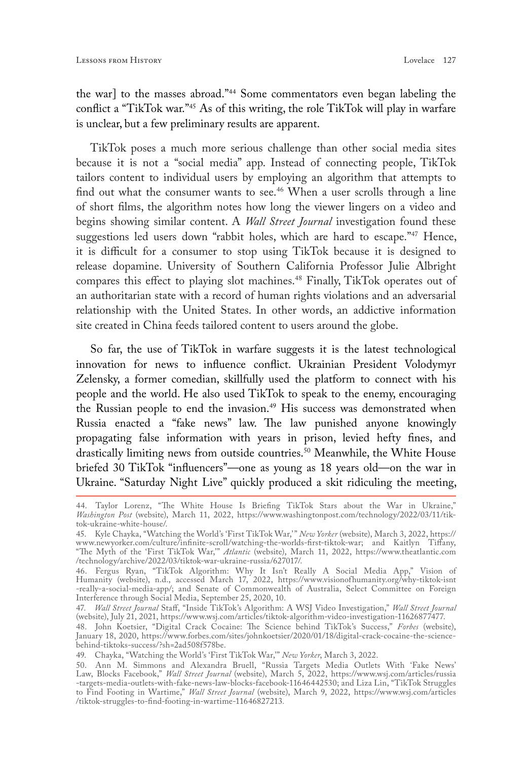the war] to the masses abroad."44 Some commentators even began labeling the conflict a "TikTok war."45 As of this writing, the role TikTok will play in warfare is unclear, but a few preliminary results are apparent.

TikTok poses a much more serious challenge than other social media sites because it is not a "social media" app. Instead of connecting people, TikTok tailors content to individual users by employing an algorithm that attempts to find out what the consumer wants to see.<sup>46</sup> When a user scrolls through a line of short films, the algorithm notes how long the viewer lingers on a video and begins showing similar content. A *Wall Street Journal* investigation found these suggestions led users down "rabbit holes, which are hard to escape."<sup>47</sup> Hence, it is difficult for a consumer to stop using TikTok because it is designed to release dopamine. University of Southern California Professor Julie Albright compares this effect to playing slot machines.<sup>48</sup> Finally, TikTok operates out of an authoritarian state with a record of human rights violations and an adversarial relationship with the United States. In other words, an addictive information site created in China feeds tailored content to users around the globe.

So far, the use of TikTok in warfare suggests it is the latest technological innovation for news to influence conflict. Ukrainian President Volodymyr Zelensky, a former comedian, skillfully used the platform to connect with his people and the world. He also used TikTok to speak to the enemy, encouraging the Russian people to end the invasion.<sup>49</sup> His success was demonstrated when Russia enacted a "fake news" law. The law punished anyone knowingly propagating false information with years in prison, levied hefty fines, and drastically limiting news from outside countries.<sup>50</sup> Meanwhile, the White House briefed 30 TikTok "influencers"—one as young as 18 years old—on the war in Ukraine. "Saturday Night Live" quickly produced a skit ridiculing the meeting,

<sup>44.</sup> Taylor Lorenz, "The White House Is Briefing TikTok Stars about the War in Ukraine," *Washington Post* (website), March 11, 2022, [https://www.washingtonpost.com/technology/2022/03/11/tik](https://www.washingtonpost.com/technology/2022/03/11/tik-tok-ukraine-white-house/)[tok-ukraine-white-house/.](https://www.washingtonpost.com/technology/2022/03/11/tik-tok-ukraine-white-house/)

<sup>45.</sup> Kyle Chayka, "Watching the World's 'First TikTok War,'" *New Yorker* (website), March 3, 2022, [https://](https://www.newyorker.com/culture/infinite-scroll/watching-the-worlds-first-tiktok-war) [www.newyorker.com/culture/infinite-scroll/watching-the-worlds-first-tiktok-war](https://www.newyorker.com/culture/infinite-scroll/watching-the-worlds-first-tiktok-war); and Kaitlyn Tiffany, "The Myth of the 'First TikTok War,'" *Atlantic* (website), March 11, 2022, [https://www.theatlantic.com](https://www.theatlantic.com/technology/archive/2022/03/tiktok-war-ukraine-russia/627017/) [/technology/archive/2022/03/tiktok-war-ukraine-russia/627017/](https://www.theatlantic.com/technology/archive/2022/03/tiktok-war-ukraine-russia/627017/).

<sup>46.</sup> Fergus Ryan, "TikTok Algorithm: Why It Isn't Really A Social Media App," Vision of Humanity (website), n.d., accessed March 17, 2022, [https://www.visionofhumanity.org/why-tiktok-isnt](https://www.visionofhumanity.org/why-tiktok-isnt-really-a-social-media-app/) [-really-a-social-media-app/;](https://www.visionofhumanity.org/why-tiktok-isnt-really-a-social-media-app/) and Senate of Commonwealth of Australia, Select Committee on Foreign Interference through Social Media, September 25, 2020, 10.

<sup>47.</sup> *Wall Street Journal* Staff, "Inside TikTok's Algorithm: A WSJ Video Investigation," *Wall Street Journal*  (website), July 21, 2021, [https://www.wsj.com/articles/tiktok-algorithm-video-investigation-11626877477.](https://www.wsj.com/articles/tiktok-algorithm-video-investigation-11626877477)

<sup>48.</sup> John Koetsier, "Digital Crack Cocaine: The Science behind TikTok's Success," *Forbes* (website), January 18, 2020, [https://www.forbes.com/sites/johnkoetsier/2020/01/18/digital-crack-cocaine-the-science](https://www.forbes.com/sites/johnkoetsier/2020/01/18/digital-crack-cocaine-the-science-behind-tiktoks-success/?sh=2ad508f578be)[behind-tiktoks-success/?sh=2ad508f578be](https://www.forbes.com/sites/johnkoetsier/2020/01/18/digital-crack-cocaine-the-science-behind-tiktoks-success/?sh=2ad508f578be).

<sup>49.</sup> Chayka, "Watching the World's 'First TikTok War,'" *New Yorker*, March 3, 2022.

<sup>50.</sup> Ann M. Simmons and Alexandra Bruell, "Russia Targets Media Outlets With 'Fake News' Law, Blocks Facebook," *Wall Street Journal* (website), March 5, 2022, [https://www.wsj.com/articles/russia](https://www.wsj.com/articles/russia-targets-media-outlets-with-fake-news-law-blocks-facebook-11646442530) [-targets-media-outlets-with-fake-news-law-blocks-facebook-11646442530](https://www.wsj.com/articles/russia-targets-media-outlets-with-fake-news-law-blocks-facebook-11646442530); and Liza Lin, "TikTok Struggles to Find Footing in Wartime," *Wall Street Journal* (website), March 9, 2022, [https://www.wsj.com/articles](https://www.wsj.com/articles/tiktok-struggles-to-find-footing-in-wartime-11646827213) [/tiktok-struggles-to-find-footing-in-wartime-11646827213](https://www.wsj.com/articles/tiktok-struggles-to-find-footing-in-wartime-11646827213)*.*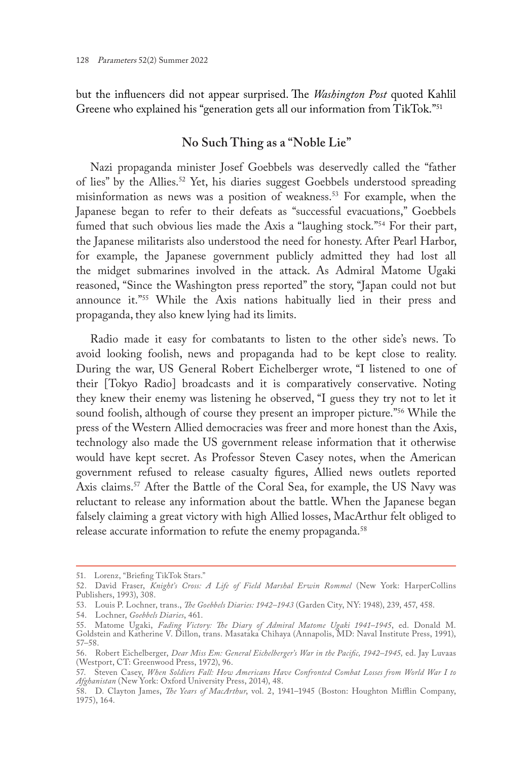but the influencers did not appear surprised. The *Washington Post* quoted Kahlil Greene who explained his "generation gets all our information from TikTok."<sup>51</sup>

# **No Such Thing as a "Noble Lie"**

Nazi propaganda minister Josef Goebbels was deservedly called the "father of lies" by the Allies.52 Yet, his diaries suggest Goebbels understood spreading misinformation as news was a position of weakness.53 For example, when the Japanese began to refer to their defeats as "successful evacuations," Goebbels fumed that such obvious lies made the Axis a "laughing stock."<sup>54</sup> For their part, the Japanese militarists also understood the need for honesty. After Pearl Harbor, for example, the Japanese government publicly admitted they had lost all the midget submarines involved in the attack. As Admiral Matome Ugaki reasoned, "Since the Washington press reported" the story, "Japan could not but announce it."55 While the Axis nations habitually lied in their press and propaganda, they also knew lying had its limits.

Radio made it easy for combatants to listen to the other side's news. To avoid looking foolish, news and propaganda had to be kept close to reality. During the war, US General Robert Eichelberger wrote, "I listened to one of their [Tokyo Radio] broadcasts and it is comparatively conservative. Noting they knew their enemy was listening he observed, "I guess they try not to let it sound foolish, although of course they present an improper picture."<sup>56</sup> While the press of the Western Allied democracies was freer and more honest than the Axis, technology also made the US government release information that it otherwise would have kept secret. As Professor Steven Casey notes, when the American government refused to release casualty figures, Allied news outlets reported Axis claims.<sup>57</sup> After the Battle of the Coral Sea, for example, the US Navy was reluctant to release any information about the battle. When the Japanese began falsely claiming a great victory with high Allied losses, MacArthur felt obliged to release accurate information to refute the enemy propaganda.<sup>58</sup>

<sup>51.</sup> Lorenz, "Briefing TikTok Stars."

<sup>52.</sup> David Fraser, *Knight's Cross: A Life of Field Marshal Erwin Rommel* (New York: HarperCollins Publishers, 1993), 308.

<sup>53.</sup> Louis P. Lochner, trans., *The Goebbels Diaries: 1942–1943* (Garden City, NY: 1948), 239, 457, 458.

<sup>54.</sup> Lochner, *Goebbels Diaries*, 461.

<sup>55.</sup> Matome Ugaki, *Fading Victory: The Diary of Admiral Matome Ugaki 1941–1945*, ed. Donald M. Goldstein and Katherine V. Dillon, trans. Masataka Chihaya (Annapolis, MD: Naval Institute Press, 1991), 57–58.

<sup>56.</sup> Robert Eichelberger, *Dear Miss Em: General Eichelberger's War in the Pacific, 1942–1945,* ed. Jay Luvaas (Westport, CT: Greenwood Press, 1972), 96.

<sup>57.</sup> Steven Casey, *When Soldiers Fall: How Americans Have Confronted Combat Losses from World War I to Afghanistan* (New York: Oxford University Press, 2014), 48.

<sup>58.</sup> D. Clayton James, *The Years of MacArthur*, vol. 2, 1941–1945 (Boston: Houghton Mifflin Company, 1975), 164.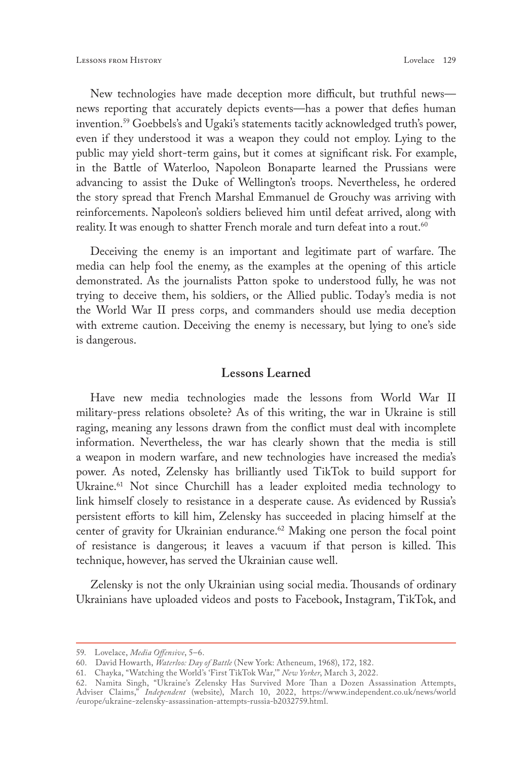New technologies have made deception more difficult, but truthful news news reporting that accurately depicts events—has a power that defies human invention.59 Goebbels's and Ugaki's statements tacitly acknowledged truth's power, even if they understood it was a weapon they could not employ. Lying to the public may yield short-term gains, but it comes at significant risk. For example, in the Battle of Waterloo, Napoleon Bonaparte learned the Prussians were advancing to assist the Duke of Wellington's troops. Nevertheless, he ordered the story spread that French Marshal Emmanuel de Grouchy was arriving with reinforcements. Napoleon's soldiers believed him until defeat arrived, along with reality. It was enough to shatter French morale and turn defeat into a rout.<sup>60</sup>

Deceiving the enemy is an important and legitimate part of warfare. The media can help fool the enemy, as the examples at the opening of this article demonstrated. As the journalists Patton spoke to understood fully, he was not trying to deceive them, his soldiers, or the Allied public. Today's media is not the World War II press corps, and commanders should use media deception with extreme caution. Deceiving the enemy is necessary, but lying to one's side is dangerous.

### **Lessons Learned**

Have new media technologies made the lessons from World War II military-press relations obsolete? As of this writing, the war in Ukraine is still raging, meaning any lessons drawn from the conflict must deal with incomplete information. Nevertheless, the war has clearly shown that the media is still a weapon in modern warfare, and new technologies have increased the media's power. As noted, Zelensky has brilliantly used TikTok to build support for Ukraine.<sup>61</sup> Not since Churchill has a leader exploited media technology to link himself closely to resistance in a desperate cause. As evidenced by Russia's persistent efforts to kill him, Zelensky has succeeded in placing himself at the center of gravity for Ukrainian endurance.<sup>62</sup> Making one person the focal point of resistance is dangerous; it leaves a vacuum if that person is killed. This technique, however, has served the Ukrainian cause well.

Zelensky is not the only Ukrainian using social media. Thousands of ordinary Ukrainians have uploaded videos and posts to Facebook, Instagram, TikTok, and

<sup>59.</sup> Lovelace, *Media Offensive*, 5–6.

<sup>60.</sup> David Howarth, *Waterloo: Day of Battle* (New York: Atheneum, 1968), 172, 182.

<sup>61.</sup> Chayka, "Watching the World's 'First TikTok War,'" *New Yorker*, March 3, 2022.

<sup>62.</sup> Namita Singh, "Ukraine's Zelensky Has Survived More Than a Dozen Assassination Attempts, Adviser Claims," *Independent* (website), March 10, 2022, [https://www.independent.co.uk/news/world](https://www.independent.co.uk/news/world/europe/ukraine-zelensky-assassination-attempts-russia-b2032759.html) [/europe/ukraine-zelensky-assassination-attempts-russia-b2032759.html.](https://www.independent.co.uk/news/world/europe/ukraine-zelensky-assassination-attempts-russia-b2032759.html)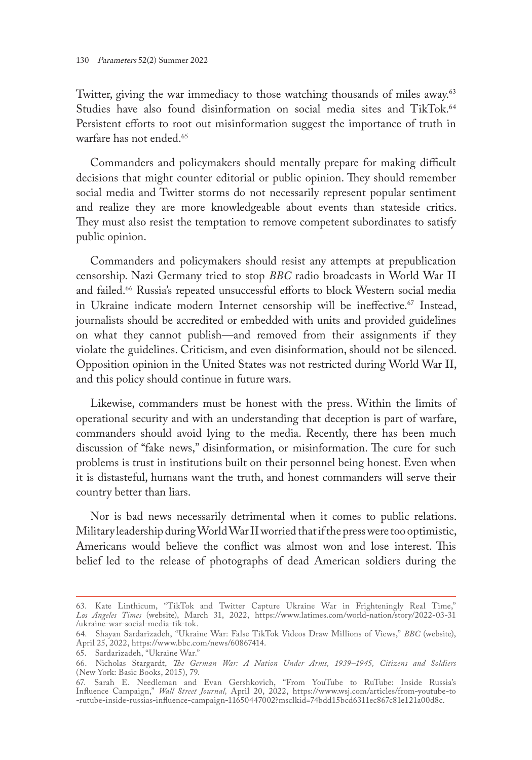Twitter, giving the war immediacy to those watching thousands of miles away.<sup>63</sup> Studies have also found disinformation on social media sites and TikTok.<sup>64</sup> Persistent efforts to root out misinformation suggest the importance of truth in warfare has not ended.<sup>65</sup>

Commanders and policymakers should mentally prepare for making difficult decisions that might counter editorial or public opinion. They should remember social media and Twitter storms do not necessarily represent popular sentiment and realize they are more knowledgeable about events than stateside critics. They must also resist the temptation to remove competent subordinates to satisfy public opinion.

Commanders and policymakers should resist any attempts at prepublication censorship. Nazi Germany tried to stop *BBC* radio broadcasts in World War II and failed.<sup>66</sup> Russia's repeated unsuccessful efforts to block Western social media in Ukraine indicate modern Internet censorship will be ineffective.<sup>67</sup> Instead, journalists should be accredited or embedded with units and provided guidelines on what they cannot publish—and removed from their assignments if they violate the guidelines. Criticism, and even disinformation, should not be silenced. Opposition opinion in the United States was not restricted during World War II, and this policy should continue in future wars.

Likewise, commanders must be honest with the press. Within the limits of operational security and with an understanding that deception is part of warfare, commanders should avoid lying to the media. Recently, there has been much discussion of "fake news," disinformation, or misinformation. The cure for such problems is trust in institutions built on their personnel being honest. Even when it is distasteful, humans want the truth, and honest commanders will serve their country better than liars.

Nor is bad news necessarily detrimental when it comes to public relations. Military leadership during World War II worried that if the press were too optimistic, Americans would believe the conflict was almost won and lose interest. This belief led to the release of photographs of dead American soldiers during the

<sup>63.</sup> Kate Linthicum, "TikTok and Twitter Capture Ukraine War in Frighteningly Real Time," *Los Angeles Times* (website), March 31, 2022, [https://www.latimes.com/world-nation/story/2022-03-31](https://www.latimes.com/world-nation/story/2022-03-31/ukraine-war-social-media-tik-tok) [/ukraine-war-social-media-tik-tok](https://www.latimes.com/world-nation/story/2022-03-31/ukraine-war-social-media-tik-tok).

<sup>64.</sup> Shayan Sardarizadeh, "Ukraine War: False TikTok Videos Draw Millions of Views," *BBC* (website), April 25, 2022, <https://www.bbc.com/news/60867414>.

<sup>65.</sup> Sardarizadeh, "Ukraine War."

<sup>66.</sup> Nicholas Stargardt, *The German War: A Nation Under Arms, 1939–1945, Citizens and Soldiers* (New York: Basic Books, 2015), 79.

<sup>67.</sup> Sarah E. Needleman and Evan Gershkovich, "From YouTube to RuTube: Inside Russia's Influence Campaign," *Wall Street Journal,* April 20, 2022, [https://www.wsj.com/articles/from-youtube-to](https://www.wsj.com/articles/from-youtube-to-rutube-inside-russias-influence-campaign-11650447002?msclkid=74bdd15bcd6311ec867c81e121a00d8c) [-rutube-inside-russias-influence-campaign-11650447002?msclkid=74bdd15bcd6311ec867c81e121a00d8c](https://www.wsj.com/articles/from-youtube-to-rutube-inside-russias-influence-campaign-11650447002?msclkid=74bdd15bcd6311ec867c81e121a00d8c).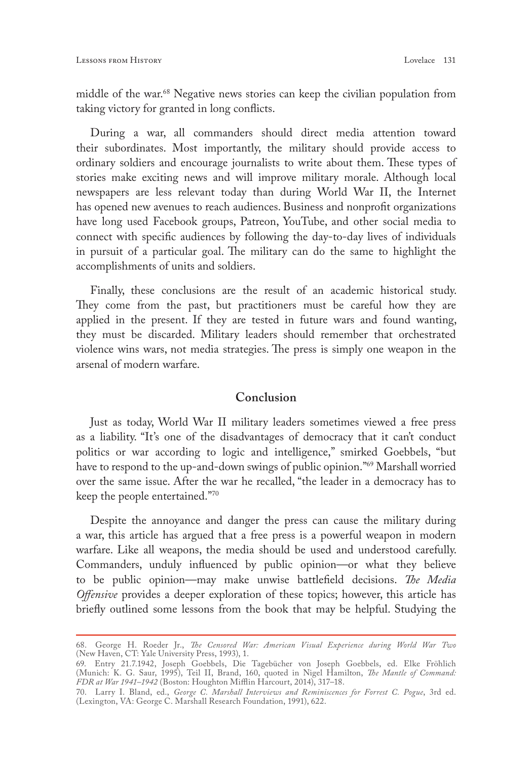middle of the war.<sup>68</sup> Negative news stories can keep the civilian population from taking victory for granted in long conflicts.

During a war, all commanders should direct media attention toward their subordinates. Most importantly, the military should provide access to ordinary soldiers and encourage journalists to write about them. These types of stories make exciting news and will improve military morale. Although local newspapers are less relevant today than during World War II, the Internet has opened new avenues to reach audiences. Business and nonprofit organizations have long used Facebook groups, Patreon, YouTube, and other social media to connect with specific audiences by following the day-to-day lives of individuals in pursuit of a particular goal. The military can do the same to highlight the accomplishments of units and soldiers.

Finally, these conclusions are the result of an academic historical study. They come from the past, but practitioners must be careful how they are applied in the present. If they are tested in future wars and found wanting, they must be discarded. Military leaders should remember that orchestrated violence wins wars, not media strategies. The press is simply one weapon in the arsenal of modern warfare.

# **Conclusion**

Just as today, World War II military leaders sometimes viewed a free press as a liability. "It's one of the disadvantages of democracy that it can't conduct politics or war according to logic and intelligence," smirked Goebbels, "but have to respond to the up-and-down swings of public opinion."<sup>69</sup> Marshall worried over the same issue. After the war he recalled, "the leader in a democracy has to keep the people entertained."70

Despite the annoyance and danger the press can cause the military during a war, this article has argued that a free press is a powerful weapon in modern warfare. Like all weapons, the media should be used and understood carefully. Commanders, unduly influenced by public opinion—or what they believe to be public opinion—may make unwise battlefield decisions. *The Media Offensive* provides a deeper exploration of these topics; however, this article has briefly outlined some lessons from the book that may be helpful. Studying the

<sup>68.</sup> George H. Roeder Jr., *The Censored War: American Visual Experience during World War Two* (New Haven, CT: Yale University Press, 1993), 1.

<sup>69.</sup> Entry 21.7.1942, Joseph Goebbels, Die Tagebücher von Joseph Goebbels, ed. Elke Fröhlich (Munich: K. G. Saur, 1995), Teil II, Brand, 160, quoted in Nigel Hamilton, *The Mantle of Command: FDR at War 1941–1942* (Boston: Houghton Mifflin Harcourt, 2014), 317–18.

<sup>70.</sup> Larry I. Bland, ed., *George C. Marshall Interviews and Reminiscences for Forrest C. Pogue*, 3rd ed. (Lexington, VA: George C. Marshall Research Foundation, 1991), 622.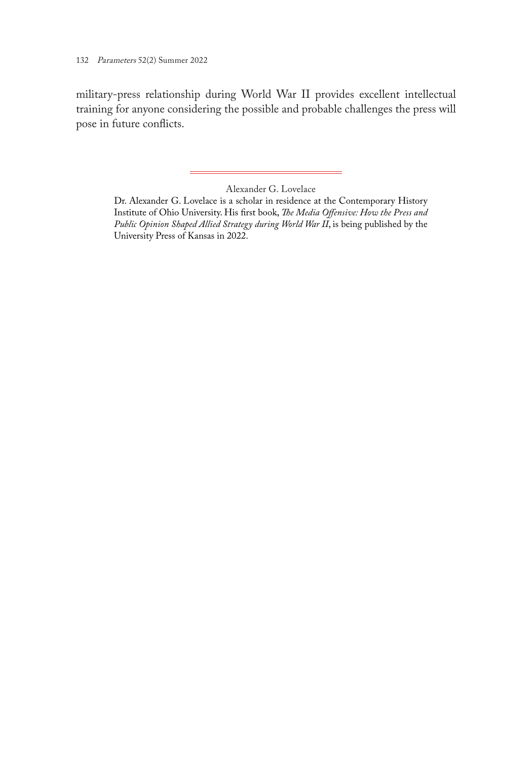military-press relationship during World War II provides excellent intellectual training for anyone considering the possible and probable challenges the press will pose in future conflicts.

Alexander G. Lovelace

Dr. Alexander G. Lovelace is a scholar in residence at the Contemporary History Institute of Ohio University. His first book, *The Media Offensive: How the Press and Public Opinion Shaped Allied Strategy during World War II*, is being published by the University Press of Kansas in 2022.